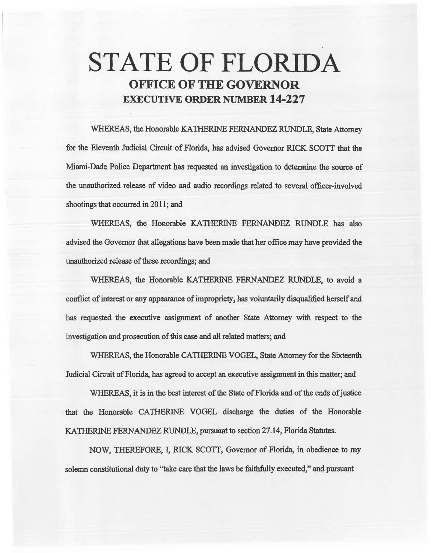# STATE OF FLORIDA OFFICE OF THE GOVERNOR EXECUTIVE ORDER NUMBER 14-227

WHEREAS, the Honorable KATHERINE FERNANDEZ RUNDLE, State Attorney for the Eleventh Judicial Circuit of Florida, has advised Governor RICK SCOTT that the Miami-Dade Police Department has requested an investigation to determine the source of the unauthorized release of video and audio recordings related to several officer-involved shootings that occurred in 2011; and

WHEREAS, the Honorable KATHERINE FERNANDEZ RUNDLE has also advised the Governor that allegations have been made that her office may have provided the unauthorized release of these recordings; and

WHEREAS, the Honorable KATHERINE FERNANDEZ RUNDLE, to avoid a conflict of interest or any appearance of impropriety, has voluntarily disqualified herself and has requested the executive assignment of another State Attorney with respect to the investigation and prosecution of this case and all related matters; and

WHEREAS, the Honorable CATHERINE VOGEL, State Attorney for the Sixteenth Judicial Circuit of Florida, has agreed to accept an executive assignment in this matter; and

WHEREAS, it is in the best interest of the State of Florida and of the ends of justice that the Honorable CATHERINE VOGEL discharge the duties of the Honorable KATIIERINE FERNANDEZ RUNDLE, pursuant to section 27.14, Florida Statutes.

NOW, THEREFORE, I, RICK SCOTf, Governor of Florida, in obedience to my solemn constitutional duty to "take care that the laws be faithfully executed," and pursuant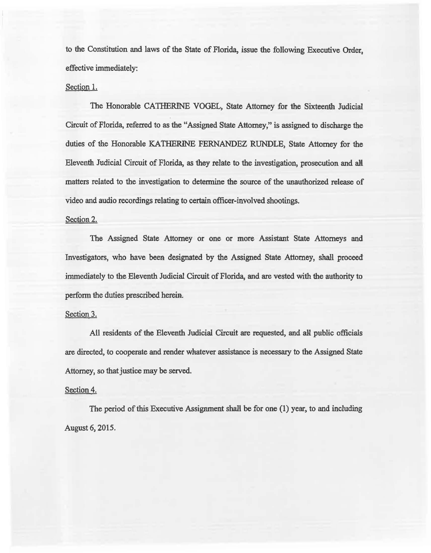to the Constitution and laws of the State of Florida, issue the following Executive Order, effective immediately:

## Section 1.

The Honorable CATHERINE VOGEL, State Attorney for 1he Sixteenth Judicial Circuit of Florida, referred to as the "Assigned State Attomey," is assigned to discharge the duties of the Honorable KATHERINE FERNANDEZ RUNDLE, State Attorney for the Eleventb Judicial Circuit of Florida, as they relate to the investigation, prosecution and all matters related to the investigation to determine the source of the uauthorized release of video and audio recordings relating to certain officer-involved shootings.

#### Section 2.

The Assigned State Attorney or one or more Assistant State Attorneys and Investigators, who have been designated by the Assigned State Attorney, shall proceed immediately to the Eleventh Judicial Circuit of Florida, and are vested with the authority to perform the duties prescribed herein.

### Section 3.

All residents of the Eleventh Judicial Circuit are requested, and all public officials are directed, to cooperate and render whatever assistance is necessary to the Assigned State Attorney, so that justice may be served.

## Section 4.

The period of this Executive Assignment shall be for one (1) year, to and including August 6, 2015.